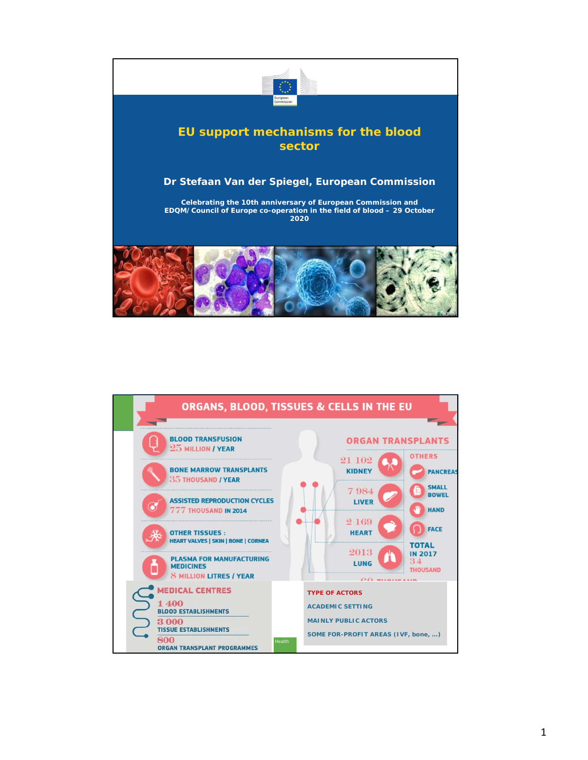

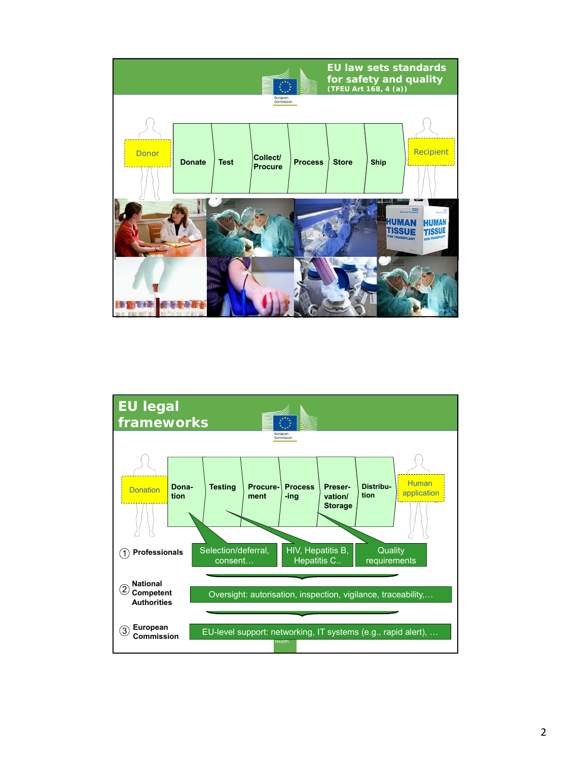

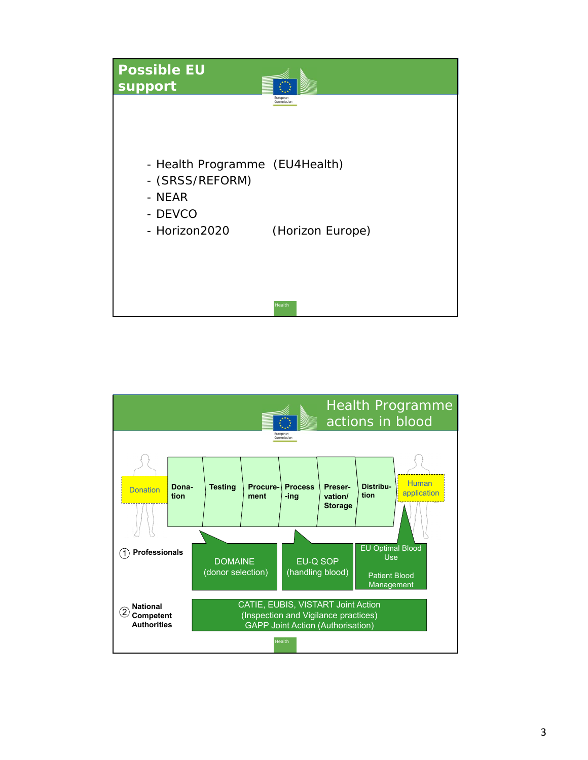

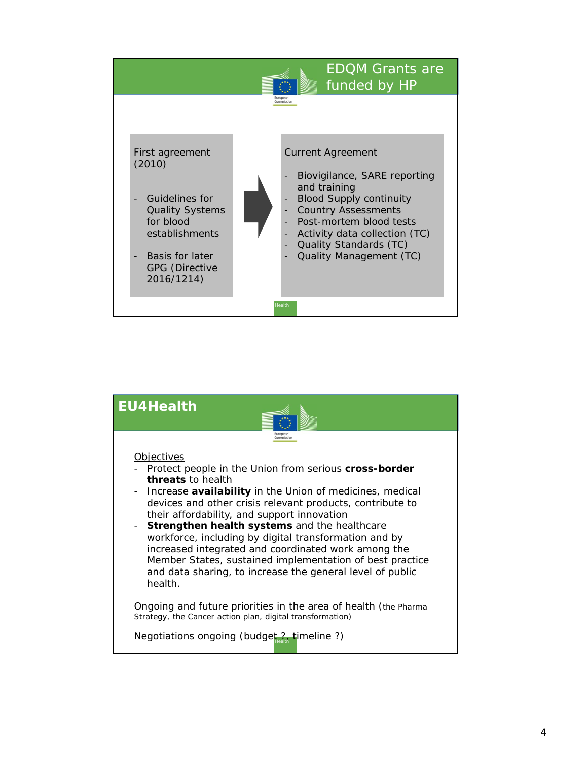

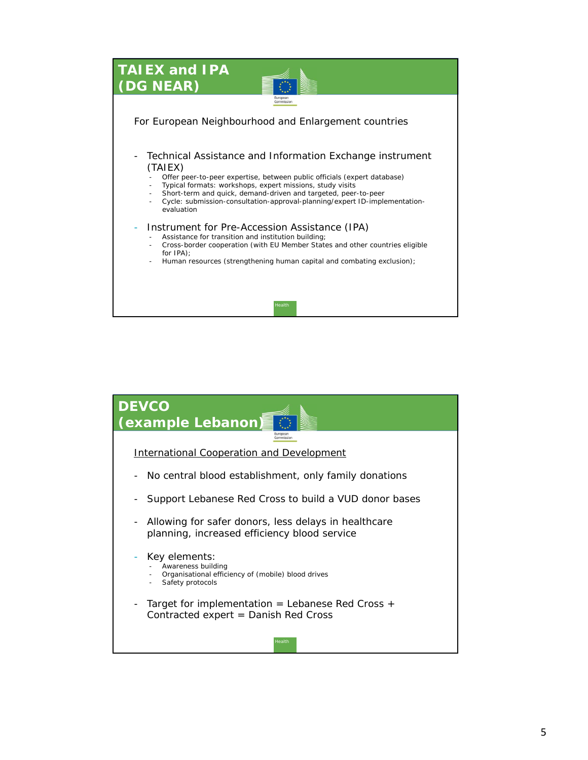

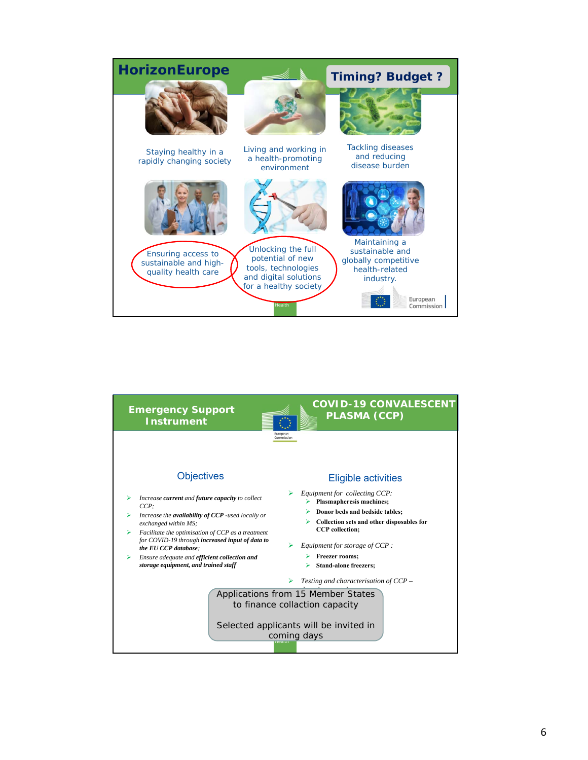